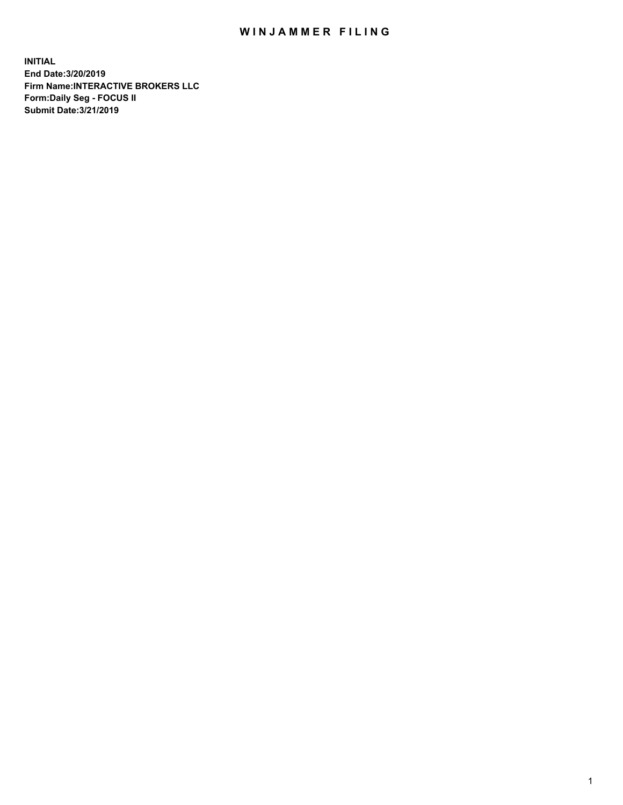## WIN JAMMER FILING

**INITIAL End Date:3/20/2019 Firm Name:INTERACTIVE BROKERS LLC Form:Daily Seg - FOCUS II Submit Date:3/21/2019**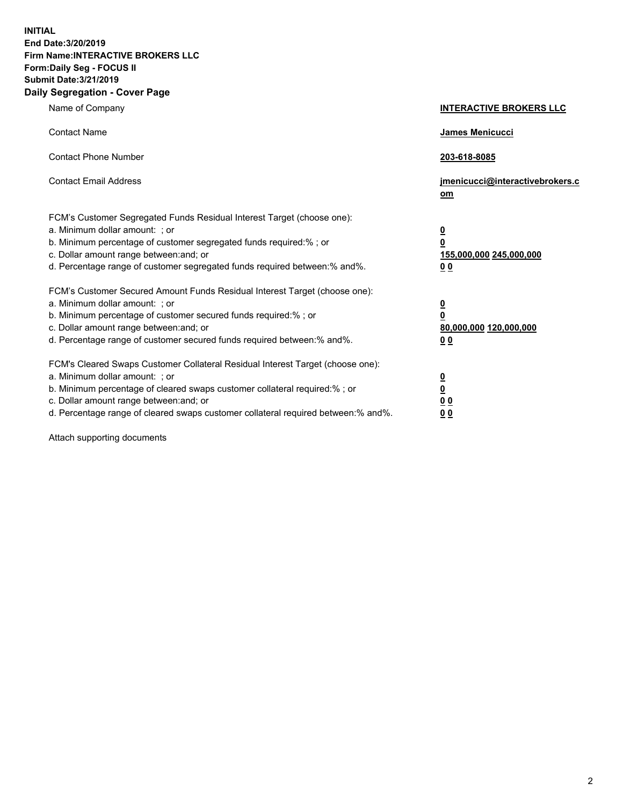**INITIAL End Date:3/20/2019 Firm Name:INTERACTIVE BROKERS LLC Form:Daily Seg - FOCUS II Submit Date:3/21/2019 Daily Segregation - Cover Page**

| Name of Company                                                                                                                                                                                                                                                                                                                | <b>INTERACTIVE BROKERS LLC</b>                                                                           |
|--------------------------------------------------------------------------------------------------------------------------------------------------------------------------------------------------------------------------------------------------------------------------------------------------------------------------------|----------------------------------------------------------------------------------------------------------|
| <b>Contact Name</b>                                                                                                                                                                                                                                                                                                            | James Menicucci                                                                                          |
| <b>Contact Phone Number</b>                                                                                                                                                                                                                                                                                                    | 203-618-8085                                                                                             |
| <b>Contact Email Address</b>                                                                                                                                                                                                                                                                                                   | jmenicucci@interactivebrokers.c<br>om                                                                    |
| FCM's Customer Segregated Funds Residual Interest Target (choose one):<br>a. Minimum dollar amount: ; or<br>b. Minimum percentage of customer segregated funds required:% ; or<br>c. Dollar amount range between: and; or<br>d. Percentage range of customer segregated funds required between:% and%.                         | <u>0</u><br>$\overline{\mathbf{0}}$<br>155,000,000 245,000,000<br>0 <sub>0</sub>                         |
| FCM's Customer Secured Amount Funds Residual Interest Target (choose one):<br>a. Minimum dollar amount: ; or<br>b. Minimum percentage of customer secured funds required:%; or<br>c. Dollar amount range between: and; or<br>d. Percentage range of customer secured funds required between:% and%.                            | <u>0</u><br>$\overline{\mathbf{0}}$<br>80,000,000 120,000,000<br><u>00</u>                               |
| FCM's Cleared Swaps Customer Collateral Residual Interest Target (choose one):<br>a. Minimum dollar amount: ; or<br>b. Minimum percentage of cleared swaps customer collateral required:% ; or<br>c. Dollar amount range between: and; or<br>d. Percentage range of cleared swaps customer collateral required between:% and%. | $\overline{\mathbf{0}}$<br>$\underline{\mathbf{0}}$<br>$\underline{0}$ $\underline{0}$<br>0 <sub>0</sub> |

Attach supporting documents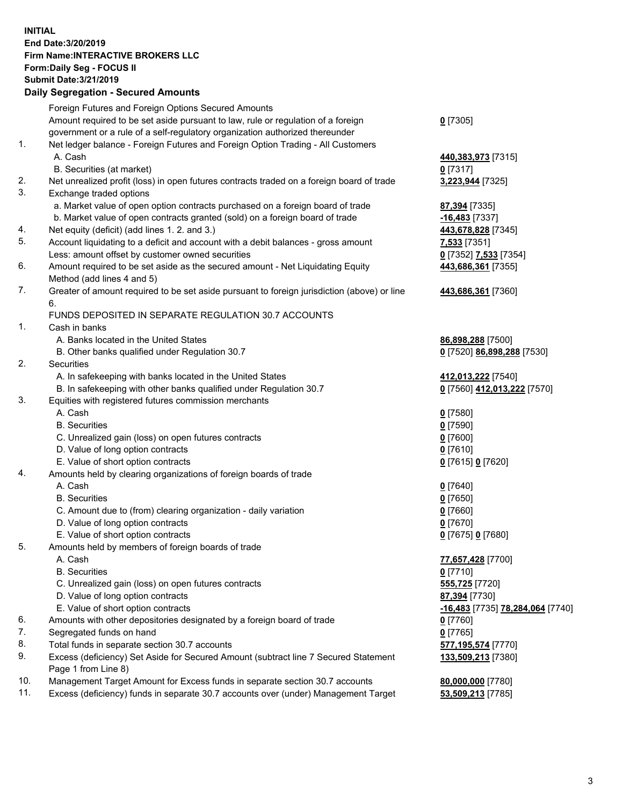## **INITIAL End Date:3/20/2019 Firm Name:INTERACTIVE BROKERS LLC Form:Daily Seg - FOCUS II Submit Date:3/21/2019 Daily Segregation - Secured Amounts**

|                | Daily Ocglegation - Occuled Aniounts                                                              |                                  |
|----------------|---------------------------------------------------------------------------------------------------|----------------------------------|
|                | Foreign Futures and Foreign Options Secured Amounts                                               |                                  |
|                | Amount required to be set aside pursuant to law, rule or regulation of a foreign                  | $0$ [7305]                       |
|                | government or a rule of a self-regulatory organization authorized thereunder                      |                                  |
| $\mathbf{1}$ . | Net ledger balance - Foreign Futures and Foreign Option Trading - All Customers                   |                                  |
|                | A. Cash                                                                                           | 440,383,973 [7315]               |
|                | B. Securities (at market)                                                                         | $0$ [7317]                       |
| 2.             | Net unrealized profit (loss) in open futures contracts traded on a foreign board of trade         | 3,223,944 [7325]                 |
| 3.             | Exchange traded options                                                                           |                                  |
|                | a. Market value of open option contracts purchased on a foreign board of trade                    | 87,394 [7335]                    |
|                | b. Market value of open contracts granted (sold) on a foreign board of trade                      | $-16,483$ [7337]                 |
| 4.             | Net equity (deficit) (add lines 1.2. and 3.)                                                      | 443,678,828 [7345]               |
| 5.             | Account liquidating to a deficit and account with a debit balances - gross amount                 | 7,533 [7351]                     |
|                | Less: amount offset by customer owned securities                                                  | 0 [7352] 7,533 [7354]            |
| 6.             | Amount required to be set aside as the secured amount - Net Liquidating Equity                    | 443,686,361 [7355]               |
|                | Method (add lines 4 and 5)                                                                        |                                  |
| 7.             | Greater of amount required to be set aside pursuant to foreign jurisdiction (above) or line<br>6. | 443,686,361 [7360]               |
|                | FUNDS DEPOSITED IN SEPARATE REGULATION 30.7 ACCOUNTS                                              |                                  |
| 1.             | Cash in banks                                                                                     |                                  |
|                | A. Banks located in the United States                                                             | 86,898,288 [7500]                |
|                | B. Other banks qualified under Regulation 30.7                                                    | 0 [7520] 86,898,288 [7530]       |
| 2.             | Securities                                                                                        |                                  |
|                | A. In safekeeping with banks located in the United States                                         | 412,013,222 [7540]               |
|                | B. In safekeeping with other banks qualified under Regulation 30.7                                | 0 [7560] 412,013,222 [7570]      |
| 3.             | Equities with registered futures commission merchants                                             |                                  |
|                | A. Cash                                                                                           | $0$ [7580]                       |
|                | <b>B.</b> Securities                                                                              | $0$ [7590]                       |
|                | C. Unrealized gain (loss) on open futures contracts                                               | $0$ [7600]                       |
|                | D. Value of long option contracts                                                                 | $0$ [7610]                       |
|                | E. Value of short option contracts                                                                | 0 [7615] 0 [7620]                |
| 4.             | Amounts held by clearing organizations of foreign boards of trade                                 |                                  |
|                | A. Cash                                                                                           | $0$ [7640]                       |
|                | <b>B.</b> Securities                                                                              | $0$ [7650]                       |
|                | C. Amount due to (from) clearing organization - daily variation                                   | $0$ [7660]                       |
|                | D. Value of long option contracts                                                                 | $0$ [7670]                       |
|                | E. Value of short option contracts                                                                | 0 [7675] 0 [7680]                |
| 5.             | Amounts held by members of foreign boards of trade                                                |                                  |
|                | A. Cash                                                                                           | 77,657,428 [7700]                |
|                | <b>B.</b> Securities                                                                              | $0$ [7710]                       |
|                | C. Unrealized gain (loss) on open futures contracts                                               | 555,725 [7720]                   |
|                | D. Value of long option contracts                                                                 | 87,394 [7730]                    |
|                | E. Value of short option contracts                                                                | -16,483 [7735] 78,284,064 [7740] |
| 6.             | Amounts with other depositories designated by a foreign board of trade                            | 0 [7760]                         |
| 7.             | Segregated funds on hand                                                                          | $0$ [7765]                       |
| 8.             | Total funds in separate section 30.7 accounts                                                     | 577,195,574 [7770]               |
| 9.             | Excess (deficiency) Set Aside for Secured Amount (subtract line 7 Secured Statement               | 133,509,213 [7380]               |
|                | Page 1 from Line 8)                                                                               |                                  |
| 10.            | Management Target Amount for Excess funds in separate section 30.7 accounts                       | 80,000,000 [7780]                |
| 11.            | Excess (deficiency) funds in separate 30.7 accounts over (under) Management Target                | 53,509,213 [7785]                |
|                |                                                                                                   |                                  |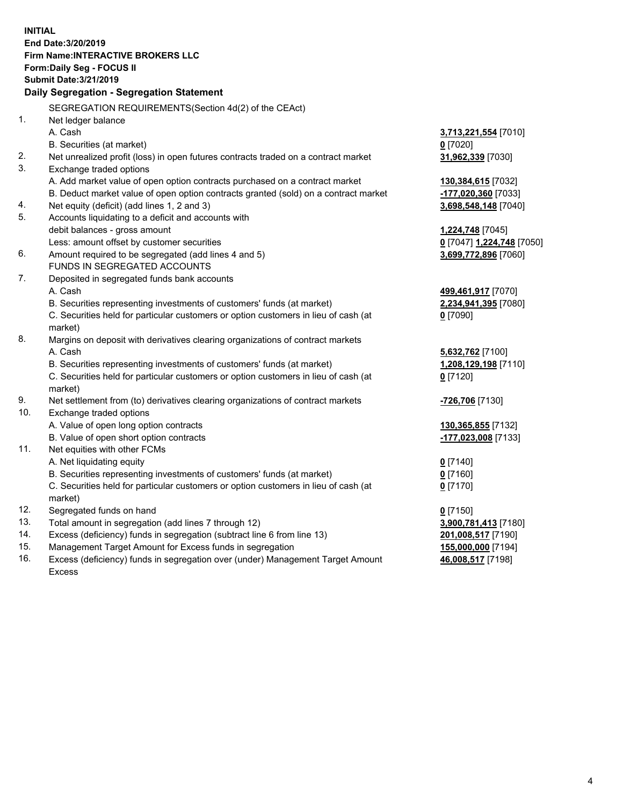**INITIAL End Date:3/20/2019 Firm Name:INTERACTIVE BROKERS LLC Form:Daily Seg - FOCUS II Submit Date:3/21/2019 Daily Segregation - Segregation Statement** SEGREGATION REQUIREMENTS(Section 4d(2) of the CEAct) 1. Net ledger balance A. Cash **3,713,221,554** [7010] B. Securities (at market) **0** [7020] 2. Net unrealized profit (loss) in open futures contracts traded on a contract market **31,962,339** [7030] 3. Exchange traded options A. Add market value of open option contracts purchased on a contract market **130,384,615** [7032] B. Deduct market value of open option contracts granted (sold) on a contract market **-177,020,360** [7033] 4. Net equity (deficit) (add lines 1, 2 and 3) **3,698,548,148** [7040] 5. Accounts liquidating to a deficit and accounts with debit balances - gross amount **1,224,748** [7045] Less: amount offset by customer securities **0** [7047] **1,224,748** [7050] 6. Amount required to be segregated (add lines 4 and 5) **3,699,772,896** [7060] FUNDS IN SEGREGATED ACCOUNTS 7. Deposited in segregated funds bank accounts A. Cash **499,461,917** [7070] B. Securities representing investments of customers' funds (at market) **2,234,941,395** [7080] C. Securities held for particular customers or option customers in lieu of cash (at market) **0** [7090] 8. Margins on deposit with derivatives clearing organizations of contract markets A. Cash **5,632,762** [7100] B. Securities representing investments of customers' funds (at market) **1,208,129,198** [7110] C. Securities held for particular customers or option customers in lieu of cash (at market) **0** [7120] 9. Net settlement from (to) derivatives clearing organizations of contract markets **-726,706** [7130] 10. Exchange traded options A. Value of open long option contracts **130,365,855** [7132] B. Value of open short option contracts **-177,023,008** [7133] 11. Net equities with other FCMs A. Net liquidating equity **0** [7140] B. Securities representing investments of customers' funds (at market) **0** [7160] C. Securities held for particular customers or option customers in lieu of cash (at market) **0** [7170] 12. Segregated funds on hand **0** [7150] 13. Total amount in segregation (add lines 7 through 12) **3,900,781,413** [7180] 14. Excess (deficiency) funds in segregation (subtract line 6 from line 13) **201,008,517** [7190] 15. Management Target Amount for Excess funds in segregation **155,000,000** [7194] **46,008,517** [7198]

16. Excess (deficiency) funds in segregation over (under) Management Target Amount Excess